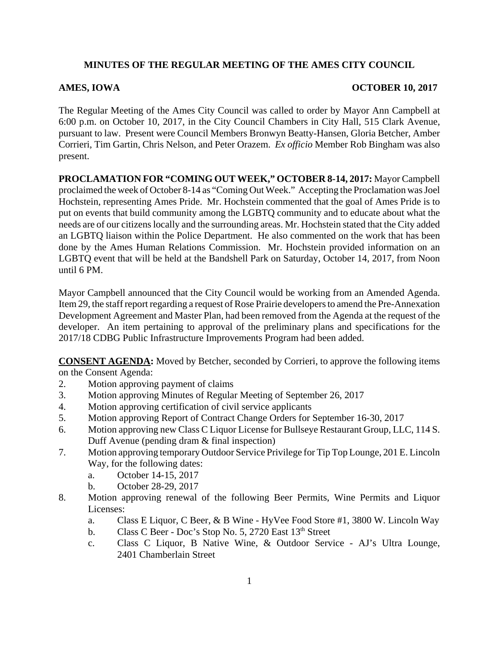## **MINUTES OF THE REGULAR MEETING OF THE AMES CITY COUNCIL**

## **AMES, IOWA OCTOBER 10, 2017**

The Regular Meeting of the Ames City Council was called to order by Mayor Ann Campbell at 6:00 p.m. on October 10, 2017, in the City Council Chambers in City Hall, 515 Clark Avenue, pursuant to law. Present were Council Members Bronwyn Beatty-Hansen, Gloria Betcher, Amber Corrieri, Tim Gartin, Chris Nelson, and Peter Orazem. *Ex officio* Member Rob Bingham was also present.

**PROCLAMATION FOR "COMING OUT WEEK," OCTOBER 8-14, 2017:** Mayor Campbell proclaimed the week of October 8-14 as "Coming Out Week." Accepting the Proclamation was Joel Hochstein, representing Ames Pride. Mr. Hochstein commented that the goal of Ames Pride is to put on events that build community among the LGBTQ community and to educate about what the needs are of our citizens locally and the surrounding areas. Mr. Hochstein stated that the City added an LGBTQ liaison within the Police Department. He also commented on the work that has been done by the Ames Human Relations Commission. Mr. Hochstein provided information on an LGBTQ event that will be held at the Bandshell Park on Saturday, October 14, 2017, from Noon until 6 PM.

Mayor Campbell announced that the City Council would be working from an Amended Agenda. Item 29, the staff report regarding a request of Rose Prairie developers to amend the Pre-Annexation Development Agreement and Master Plan, had been removed from the Agenda at the request of the developer. An item pertaining to approval of the preliminary plans and specifications for the 2017/18 CDBG Public Infrastructure Improvements Program had been added.

**CONSENT AGENDA:** Moved by Betcher, seconded by Corrieri, to approve the following items on the Consent Agenda:

- 2. Motion approving payment of claims
- 3. Motion approving Minutes of Regular Meeting of September 26, 2017
- 4. Motion approving certification of civil service applicants
- 5. Motion approving Report of Contract Change Orders for September 16-30, 2017
- 6. Motion approving new Class C Liquor License for Bullseye Restaurant Group, LLC, 114 S. Duff Avenue (pending dram & final inspection)
- 7. Motion approving temporary Outdoor Service Privilege for Tip Top Lounge, 201 E. Lincoln Way, for the following dates:
	- a. October 14-15, 2017
	- b. October 28-29, 2017
- 8. Motion approving renewal of the following Beer Permits, Wine Permits and Liquor Licenses:
	- a. Class E Liquor, C Beer, & B Wine HyVee Food Store #1, 3800 W. Lincoln Way
	- b. Class C Beer Doc's Stop No. 5, 2720 East  $13<sup>th</sup>$  Street
	- c. Class C Liquor, B Native Wine, & Outdoor Service AJ's Ultra Lounge, 2401 Chamberlain Street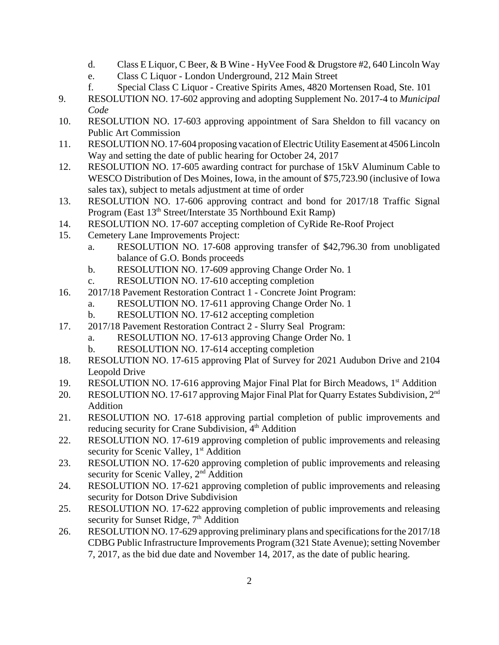- d. Class E Liquor, C Beer, & B Wine HyVee Food & Drugstore #2, 640 Lincoln Way
- e. Class C Liquor London Underground, 212 Main Street
- f. Special Class C Liquor Creative Spirits Ames, 4820 Mortensen Road, Ste. 101
- 9. RESOLUTION NO. 17-602 approving and adopting Supplement No. 2017-4 to *Municipal Code*
- 10. RESOLUTION NO. 17-603 approving appointment of Sara Sheldon to fill vacancy on Public Art Commission
- 11. RESOLUTION NO. 17-604 proposing vacation of Electric Utility Easement at 4506 Lincoln Way and setting the date of public hearing for October 24, 2017
- 12. RESOLUTION NO. 17-605 awarding contract for purchase of 15kV Aluminum Cable to WESCO Distribution of Des Moines, Iowa, in the amount of \$75,723.90 (inclusive of Iowa sales tax), subject to metals adjustment at time of order
- 13. RESOLUTION NO. 17-606 approving contract and bond for 2017/18 Traffic Signal Program (East 13<sup>th</sup> Street/Interstate 35 Northbound Exit Ramp)
- 14. RESOLUTION NO. 17-607 accepting completion of CyRide Re-Roof Project
- 15. Cemetery Lane Improvements Project:
	- a. RESOLUTION NO. 17-608 approving transfer of \$42,796.30 from unobligated balance of G.O. Bonds proceeds
	- b. RESOLUTION NO. 17-609 approving Change Order No. 1
	- c. RESOLUTION NO. 17-610 accepting completion
- 16. 2017/18 Pavement Restoration Contract 1 Concrete Joint Program:
	- a. RESOLUTION NO. 17-611 approving Change Order No. 1
	- b. RESOLUTION NO. 17-612 accepting completion
- 17. 2017/18 Pavement Restoration Contract 2 Slurry Seal Program:
	- a. RESOLUTION NO. 17-613 approving Change Order No. 1
	- b. RESOLUTION NO. 17-614 accepting completion
- 18. RESOLUTION NO. 17-615 approving Plat of Survey for 2021 Audubon Drive and 2104 Leopold Drive
- 19. RESOLUTION NO. 17-616 approving Major Final Plat for Birch Meadows, 1<sup>st</sup> Addition
- 20. RESOLUTION NO. 17-617 approving Major Final Plat for Quarry Estates Subdivision, 2<sup>nd</sup> Addition
- 21. RESOLUTION NO. 17-618 approving partial completion of public improvements and reducing security for Crane Subdivision, 4<sup>th</sup> Addition
- 22. RESOLUTION NO. 17-619 approving completion of public improvements and releasing security for Scenic Valley, 1<sup>st</sup> Addition
- 23. RESOLUTION NO. 17-620 approving completion of public improvements and releasing security for Scenic Valley, 2<sup>nd</sup> Addition
- 24. RESOLUTION NO. 17-621 approving completion of public improvements and releasing security for Dotson Drive Subdivision
- 25. RESOLUTION NO. 17-622 approving completion of public improvements and releasing security for Sunset Ridge, 7<sup>th</sup> Addition
- 26. RESOLUTION NO. 17-629 approving preliminary plans and specifications for the 2017/18 CDBG Public Infrastructure Improvements Program (321 State Avenue); setting November 7, 2017, as the bid due date and November 14, 2017, as the date of public hearing.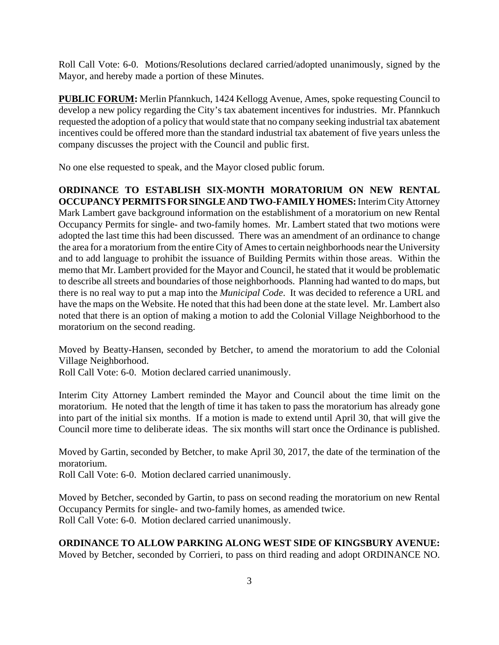Roll Call Vote: 6-0. Motions/Resolutions declared carried/adopted unanimously, signed by the Mayor, and hereby made a portion of these Minutes.

**PUBLIC FORUM:** Merlin Pfannkuch, 1424 Kellogg Avenue, Ames, spoke requesting Council to develop a new policy regarding the City's tax abatement incentives for industries. Mr. Pfannkuch requested the adoption of a policy that would state that no company seeking industrial tax abatement incentives could be offered more than the standard industrial tax abatement of five years unless the company discusses the project with the Council and public first.

No one else requested to speak, and the Mayor closed public forum.

**ORDINANCE TO ESTABLISH SIX-MONTH MORATORIUM ON NEW RENTAL OCCUPANCY PERMITS FOR SINGLE AND TWO-FAMILY HOMES:** Interim City Attorney Mark Lambert gave background information on the establishment of a moratorium on new Rental Occupancy Permits for single- and two-family homes. Mr. Lambert stated that two motions were adopted the last time this had been discussed. There was an amendment of an ordinance to change the area for a moratorium from the entire City of Ames to certain neighborhoods near the University and to add language to prohibit the issuance of Building Permits within those areas. Within the memo that Mr. Lambert provided for the Mayor and Council, he stated that it would be problematic to describe all streets and boundaries of those neighborhoods. Planning had wanted to do maps, but there is no real way to put a map into the *Municipal Code*. It was decided to reference a URL and have the maps on the Website. He noted that this had been done at the state level. Mr. Lambert also noted that there is an option of making a motion to add the Colonial Village Neighborhood to the moratorium on the second reading.

Moved by Beatty-Hansen, seconded by Betcher, to amend the moratorium to add the Colonial Village Neighborhood.

Roll Call Vote: 6-0. Motion declared carried unanimously.

Interim City Attorney Lambert reminded the Mayor and Council about the time limit on the moratorium. He noted that the length of time it has taken to pass the moratorium has already gone into part of the initial six months. If a motion is made to extend until April 30, that will give the Council more time to deliberate ideas. The six months will start once the Ordinance is published.

Moved by Gartin, seconded by Betcher, to make April 30, 2017, the date of the termination of the moratorium.

Roll Call Vote: 6-0. Motion declared carried unanimously.

Moved by Betcher, seconded by Gartin, to pass on second reading the moratorium on new Rental Occupancy Permits for single- and two-family homes, as amended twice. Roll Call Vote: 6-0. Motion declared carried unanimously.

# **ORDINANCE TO ALLOW PARKING ALONG WEST SIDE OF KINGSBURY AVENUE:**

Moved by Betcher, seconded by Corrieri, to pass on third reading and adopt ORDINANCE NO.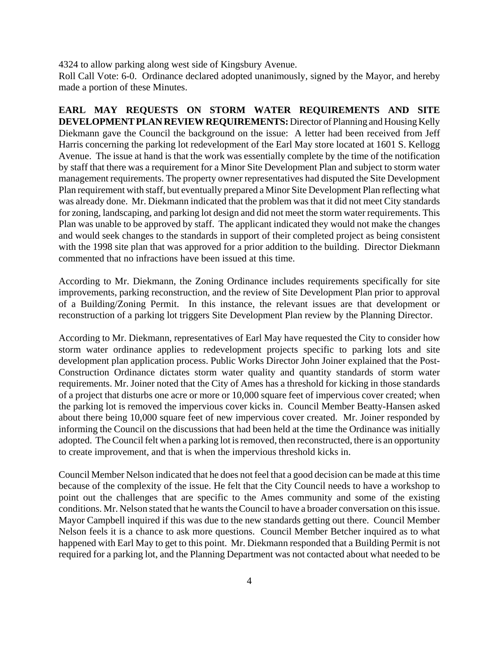4324 to allow parking along west side of Kingsbury Avenue.

Roll Call Vote: 6-0. Ordinance declared adopted unanimously, signed by the Mayor, and hereby made a portion of these Minutes.

**EARL MAY REQUESTS ON STORM WATER REQUIREMENTS AND SITE DEVELOPMENT PLAN REVIEW REQUIREMENTS:** Director of Planning and Housing Kelly Diekmann gave the Council the background on the issue: A letter had been received from Jeff Harris concerning the parking lot redevelopment of the Earl May store located at 1601 S. Kellogg Avenue. The issue at hand is that the work was essentially complete by the time of the notification by staff that there was a requirement for a Minor Site Development Plan and subject to storm water management requirements. The property owner representatives had disputed the Site Development Plan requirement with staff, but eventually prepared a Minor Site Development Plan reflecting what was already done. Mr. Diekmann indicated that the problem was that it did not meet City standards for zoning, landscaping, and parking lot design and did not meet the storm water requirements. This Plan was unable to be approved by staff. The applicant indicated they would not make the changes and would seek changes to the standards in support of their completed project as being consistent with the 1998 site plan that was approved for a prior addition to the building. Director Diekmann commented that no infractions have been issued at this time.

According to Mr. Diekmann, the Zoning Ordinance includes requirements specifically for site improvements, parking reconstruction, and the review of Site Development Plan prior to approval of a Building/Zoning Permit. In this instance, the relevant issues are that development or reconstruction of a parking lot triggers Site Development Plan review by the Planning Director.

According to Mr. Diekmann, representatives of Earl May have requested the City to consider how storm water ordinance applies to redevelopment projects specific to parking lots and site development plan application process. Public Works Director John Joiner explained that the Post-Construction Ordinance dictates storm water quality and quantity standards of storm water requirements. Mr. Joiner noted that the City of Ames has a threshold for kicking in those standards of a project that disturbs one acre or more or 10,000 square feet of impervious cover created; when the parking lot is removed the impervious cover kicks in. Council Member Beatty-Hansen asked about there being 10,000 square feet of new impervious cover created. Mr. Joiner responded by informing the Council on the discussions that had been held at the time the Ordinance was initially adopted. The Council felt when a parking lot is removed, then reconstructed, there is an opportunity to create improvement, and that is when the impervious threshold kicks in.

Council Member Nelson indicated that he does not feel that a good decision can be made at this time because of the complexity of the issue. He felt that the City Council needs to have a workshop to point out the challenges that are specific to the Ames community and some of the existing conditions. Mr. Nelson stated that he wants the Council to have a broader conversation on this issue. Mayor Campbell inquired if this was due to the new standards getting out there. Council Member Nelson feels it is a chance to ask more questions. Council Member Betcher inquired as to what happened with Earl May to get to this point. Mr. Diekmann responded that a Building Permit is not required for a parking lot, and the Planning Department was not contacted about what needed to be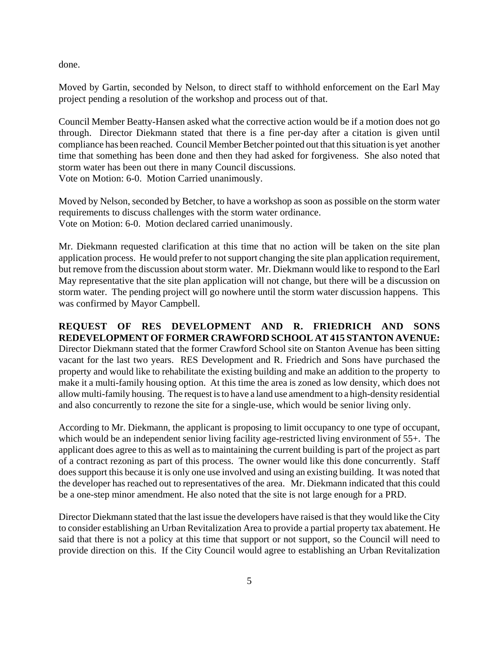done.

Moved by Gartin, seconded by Nelson, to direct staff to withhold enforcement on the Earl May project pending a resolution of the workshop and process out of that.

Council Member Beatty-Hansen asked what the corrective action would be if a motion does not go through. Director Diekmann stated that there is a fine per-day after a citation is given until compliance has been reached. Council Member Betcher pointed out that this situation is yet another time that something has been done and then they had asked for forgiveness. She also noted that storm water has been out there in many Council discussions. Vote on Motion: 6-0. Motion Carried unanimously.

Moved by Nelson, seconded by Betcher, to have a workshop as soon as possible on the storm water requirements to discuss challenges with the storm water ordinance. Vote on Motion: 6-0. Motion declared carried unanimously.

Mr. Diekmann requested clarification at this time that no action will be taken on the site plan application process. He would prefer to not support changing the site plan application requirement, but remove from the discussion about storm water. Mr. Diekmann would like to respond to the Earl May representative that the site plan application will not change, but there will be a discussion on storm water. The pending project will go nowhere until the storm water discussion happens. This was confirmed by Mayor Campbell.

**REQUEST OF RES DEVELOPMENT AND R. FRIEDRICH AND SONS REDEVELOPMENT OF FORMER CRAWFORD SCHOOL AT 415 STANTON AVENUE:**  Director Diekmann stated that the former Crawford School site on Stanton Avenue has been sitting vacant for the last two years. RES Development and R. Friedrich and Sons have purchased the property and would like to rehabilitate the existing building and make an addition to the property to make it a multi-family housing option. At this time the area is zoned as low density, which does not allow multi-family housing. The request is to have a land use amendment to a high-density residential and also concurrently to rezone the site for a single-use, which would be senior living only.

According to Mr. Diekmann, the applicant is proposing to limit occupancy to one type of occupant, which would be an independent senior living facility age-restricted living environment of 55+. The applicant does agree to this as well as to maintaining the current building is part of the project as part of a contract rezoning as part of this process. The owner would like this done concurrently. Staff does support this because it is only one use involved and using an existing building. It was noted that the developer has reached out to representatives of the area. Mr. Diekmann indicated that this could be a one-step minor amendment. He also noted that the site is not large enough for a PRD.

Director Diekmann stated that the last issue the developers have raised is that they would like the City to consider establishing an Urban Revitalization Area to provide a partial property tax abatement. He said that there is not a policy at this time that support or not support, so the Council will need to provide direction on this. If the City Council would agree to establishing an Urban Revitalization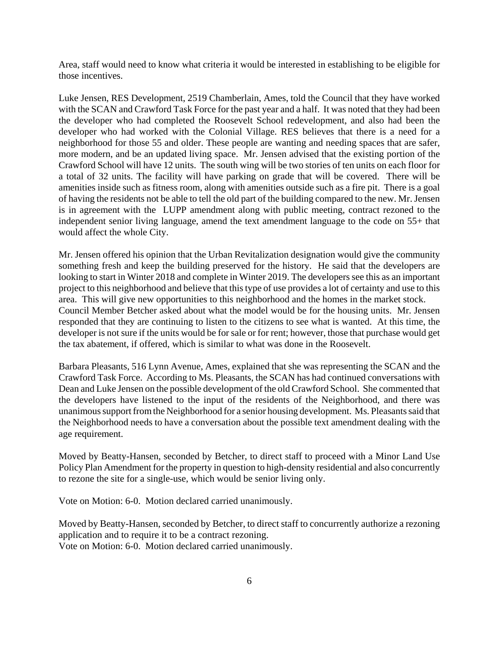Area, staff would need to know what criteria it would be interested in establishing to be eligible for those incentives.

Luke Jensen, RES Development, 2519 Chamberlain, Ames, told the Council that they have worked with the SCAN and Crawford Task Force for the past year and a half. It was noted that they had been the developer who had completed the Roosevelt School redevelopment, and also had been the developer who had worked with the Colonial Village. RES believes that there is a need for a neighborhood for those 55 and older. These people are wanting and needing spaces that are safer, more modern, and be an updated living space. Mr. Jensen advised that the existing portion of the Crawford School will have 12 units. The south wing will be two stories of ten units on each floor for a total of 32 units. The facility will have parking on grade that will be covered. There will be amenities inside such as fitness room, along with amenities outside such as a fire pit. There is a goal of having the residents not be able to tell the old part of the building compared to the new. Mr. Jensen is in agreement with the LUPP amendment along with public meeting, contract rezoned to the independent senior living language, amend the text amendment language to the code on 55+ that would affect the whole City.

Mr. Jensen offered his opinion that the Urban Revitalization designation would give the community something fresh and keep the building preserved for the history. He said that the developers are looking to start in Winter 2018 and complete in Winter 2019. The developers see this as an important project to this neighborhood and believe that this type of use provides a lot of certainty and use to this area. This will give new opportunities to this neighborhood and the homes in the market stock. Council Member Betcher asked about what the model would be for the housing units. Mr. Jensen responded that they are continuing to listen to the citizens to see what is wanted. At this time, the developer is not sure if the units would be for sale or for rent; however, those that purchase would get the tax abatement, if offered, which is similar to what was done in the Roosevelt.

Barbara Pleasants, 516 Lynn Avenue, Ames, explained that she was representing the SCAN and the Crawford Task Force. According to Ms. Pleasants, the SCAN has had continued conversations with Dean and Luke Jensen on the possible development of the old Crawford School. She commented that the developers have listened to the input of the residents of the Neighborhood, and there was unanimous support from the Neighborhood for a senior housing development. Ms. Pleasants said that the Neighborhood needs to have a conversation about the possible text amendment dealing with the age requirement.

Moved by Beatty-Hansen, seconded by Betcher, to direct staff to proceed with a Minor Land Use Policy Plan Amendment for the property in question to high-density residential and also concurrently to rezone the site for a single-use, which would be senior living only.

Vote on Motion: 6-0. Motion declared carried unanimously.

Moved by Beatty-Hansen, seconded by Betcher, to direct staff to concurrently authorize a rezoning application and to require it to be a contract rezoning. Vote on Motion: 6-0. Motion declared carried unanimously.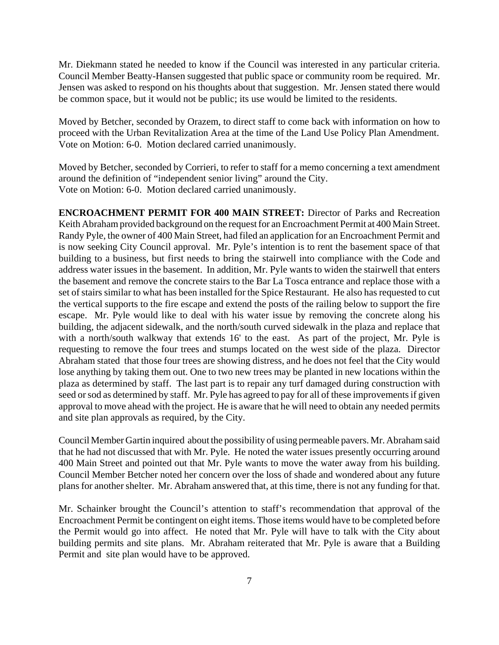Mr. Diekmann stated he needed to know if the Council was interested in any particular criteria. Council Member Beatty-Hansen suggested that public space or community room be required. Mr. Jensen was asked to respond on his thoughts about that suggestion. Mr. Jensen stated there would be common space, but it would not be public; its use would be limited to the residents.

Moved by Betcher, seconded by Orazem, to direct staff to come back with information on how to proceed with the Urban Revitalization Area at the time of the Land Use Policy Plan Amendment. Vote on Motion: 6-0. Motion declared carried unanimously.

Moved by Betcher, seconded by Corrieri, to refer to staff for a memo concerning a text amendment around the definition of "independent senior living" around the City. Vote on Motion: 6-0. Motion declared carried unanimously.

**ENCROACHMENT PERMIT FOR 400 MAIN STREET:** Director of Parks and Recreation Keith Abraham provided background on the request for an Encroachment Permit at 400 Main Street. Randy Pyle, the owner of 400 Main Street, had filed an application for an Encroachment Permit and is now seeking City Council approval. Mr. Pyle's intention is to rent the basement space of that building to a business, but first needs to bring the stairwell into compliance with the Code and address water issues in the basement. In addition, Mr. Pyle wants to widen the stairwell that enters the basement and remove the concrete stairs to the Bar La Tosca entrance and replace those with a set of stairs similar to what has been installed for the Spice Restaurant. He also has requested to cut the vertical supports to the fire escape and extend the posts of the railing below to support the fire escape. Mr. Pyle would like to deal with his water issue by removing the concrete along his building, the adjacent sidewalk, and the north/south curved sidewalk in the plaza and replace that with a north/south walkway that extends 16' to the east. As part of the project, Mr. Pyle is requesting to remove the four trees and stumps located on the west side of the plaza. Director Abraham stated that those four trees are showing distress, and he does not feel that the City would lose anything by taking them out. One to two new trees may be planted in new locations within the plaza as determined by staff. The last part is to repair any turf damaged during construction with seed or sod as determined by staff. Mr. Pyle has agreed to pay for all of these improvements if given approval to move ahead with the project. He is aware that he will need to obtain any needed permits and site plan approvals as required, by the City.

Council Member Gartin inquired about the possibility of using permeable pavers. Mr. Abraham said that he had not discussed that with Mr. Pyle. He noted the water issues presently occurring around 400 Main Street and pointed out that Mr. Pyle wants to move the water away from his building. Council Member Betcher noted her concern over the loss of shade and wondered about any future plans for another shelter. Mr. Abraham answered that, at this time, there is not any funding for that.

Mr. Schainker brought the Council's attention to staff's recommendation that approval of the Encroachment Permit be contingent on eight items. Those items would have to be completed before the Permit would go into affect. He noted that Mr. Pyle will have to talk with the City about building permits and site plans. Mr. Abraham reiterated that Mr. Pyle is aware that a Building Permit and site plan would have to be approved.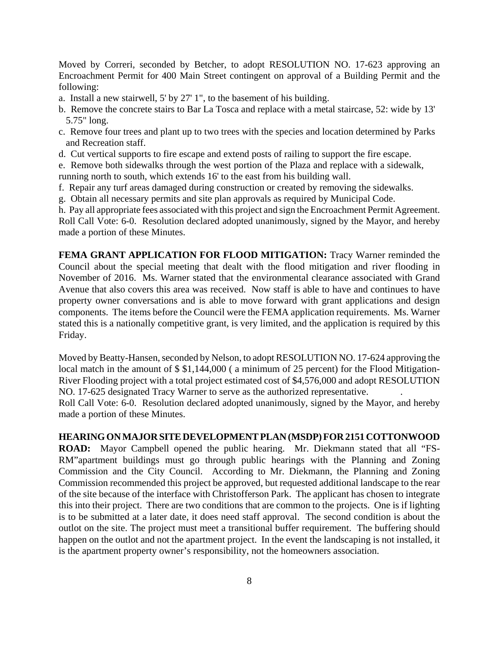Moved by Correri, seconded by Betcher, to adopt RESOLUTION NO. 17-623 approving an Encroachment Permit for 400 Main Street contingent on approval of a Building Permit and the following:

- a. Install a new stairwell, 5' by 27' 1", to the basement of his building.
- b. Remove the concrete stairs to Bar La Tosca and replace with a metal staircase, 52: wide by 13' 5.75" long.
- c. Remove four trees and plant up to two trees with the species and location determined by Parks and Recreation staff.
- d. Cut vertical supports to fire escape and extend posts of railing to support the fire escape.

e. Remove both sidewalks through the west portion of the Plaza and replace with a sidewalk, running north to south, which extends 16' to the east from his building wall.

- f. Repair any turf areas damaged during construction or created by removing the sidewalks.
- g. Obtain all necessary permits and site plan approvals as required by Municipal Code.

h. Pay all appropriate fees associated with this project and sign the Encroachment Permit Agreement. Roll Call Vote: 6-0. Resolution declared adopted unanimously, signed by the Mayor, and hereby made a portion of these Minutes.

**FEMA GRANT APPLICATION FOR FLOOD MITIGATION:** Tracy Warner reminded the Council about the special meeting that dealt with the flood mitigation and river flooding in November of 2016. Ms. Warner stated that the environmental clearance associated with Grand Avenue that also covers this area was received. Now staff is able to have and continues to have property owner conversations and is able to move forward with grant applications and design components. The items before the Council were the FEMA application requirements. Ms. Warner stated this is a nationally competitive grant, is very limited, and the application is required by this Friday.

Moved by Beatty-Hansen, seconded by Nelson, to adopt RESOLUTION NO. 17-624 approving the local match in the amount of  $$ 1,144,000$  (a minimum of 25 percent) for the Flood Mitigation-River Flooding project with a total project estimated cost of \$4,576,000 and adopt RESOLUTION NO. 17-625 designated Tracy Warner to serve as the authorized representative. .

Roll Call Vote: 6-0. Resolution declared adopted unanimously, signed by the Mayor, and hereby made a portion of these Minutes.

### **HEARING ON MAJOR SITE DEVELOPMENT PLAN (MSDP) FOR 2151 COTTONWOOD**

**ROAD:** Mayor Campbell opened the public hearing. Mr. Diekmann stated that all "FS-RM"apartment buildings must go through public hearings with the Planning and Zoning Commission and the City Council. According to Mr. Diekmann, the Planning and Zoning Commission recommended this project be approved, but requested additional landscape to the rear of the site because of the interface with Christofferson Park. The applicant has chosen to integrate this into their project. There are two conditions that are common to the projects. One is if lighting is to be submitted at a later date, it does need staff approval. The second condition is about the outlot on the site. The project must meet a transitional buffer requirement. The buffering should happen on the outlot and not the apartment project. In the event the landscaping is not installed, it is the apartment property owner's responsibility, not the homeowners association.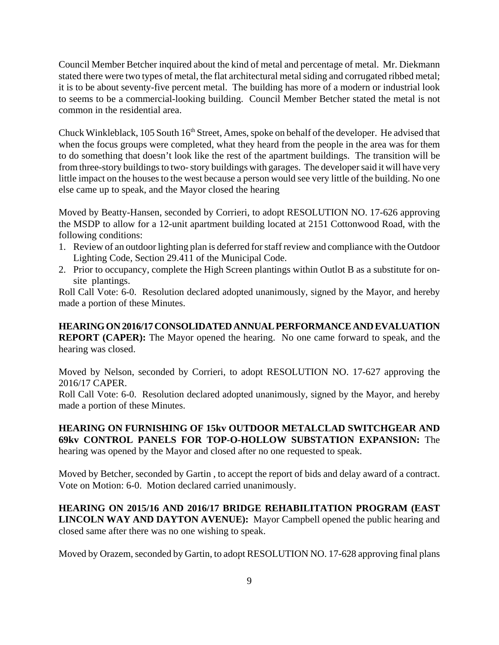Council Member Betcher inquired about the kind of metal and percentage of metal. Mr. Diekmann stated there were two types of metal, the flat architectural metal siding and corrugated ribbed metal; it is to be about seventy-five percent metal. The building has more of a modern or industrial look to seems to be a commercial-looking building. Council Member Betcher stated the metal is not common in the residential area.

Chuck Winkleblack, 105 South 16<sup>th</sup> Street, Ames, spoke on behalf of the developer. He advised that when the focus groups were completed, what they heard from the people in the area was for them to do something that doesn't look like the rest of the apartment buildings. The transition will be from three-story buildings to two- story buildings with garages. The developer said it will have very little impact on the houses to the west because a person would see very little of the building. No one else came up to speak, and the Mayor closed the hearing

Moved by Beatty-Hansen, seconded by Corrieri, to adopt RESOLUTION NO. 17-626 approving the MSDP to allow for a 12-unit apartment building located at 2151 Cottonwood Road, with the following conditions:

- 1. Review of an outdoor lighting plan is deferred for staff review and compliance with the Outdoor Lighting Code, Section 29.411 of the Municipal Code.
- 2. Prior to occupancy, complete the High Screen plantings within Outlot B as a substitute for onsite plantings.

Roll Call Vote: 6-0. Resolution declared adopted unanimously, signed by the Mayor, and hereby made a portion of these Minutes.

**HEARING ON 2016/17 CONSOLIDATED ANNUAL PERFORMANCE AND EVALUATION REPORT (CAPER):** The Mayor opened the hearing. No one came forward to speak, and the hearing was closed.

Moved by Nelson, seconded by Corrieri, to adopt RESOLUTION NO. 17-627 approving the 2016/17 CAPER.

Roll Call Vote: 6-0. Resolution declared adopted unanimously, signed by the Mayor, and hereby made a portion of these Minutes.

**HEARING ON FURNISHING OF 15kv OUTDOOR METALCLAD SWITCHGEAR AND 69kv CONTROL PANELS FOR TOP-O-HOLLOW SUBSTATION EXPANSION:** The hearing was opened by the Mayor and closed after no one requested to speak.

Moved by Betcher, seconded by Gartin , to accept the report of bids and delay award of a contract. Vote on Motion: 6-0. Motion declared carried unanimously.

**HEARING ON 2015/16 AND 2016/17 BRIDGE REHABILITATION PROGRAM (EAST LINCOLN WAY AND DAYTON AVENUE):** Mayor Campbell opened the public hearing and closed same after there was no one wishing to speak.

Moved by Orazem, seconded by Gartin, to adopt RESOLUTION NO. 17-628 approving final plans